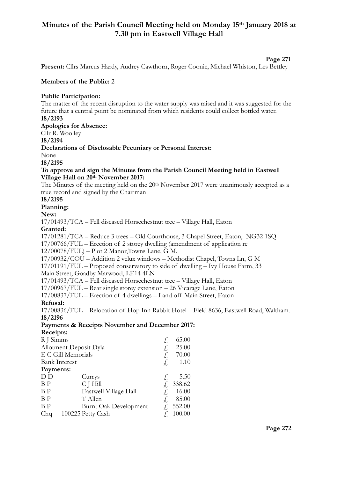# **Minutes of the Parish Council Meeting held on Monday 15th January 2018 at 7.30 pm in Eastwell Village Hall**

#### **Page 271**

**Present:** Cllrs Marcus Hardy, Audrey Cawthorn, Roger Coonie, Michael Whiston, Les Bettley

#### **Members of the Public:** 2

#### **Public Participation:**

The matter of the recent disruption to the water supply was raised and it was suggested for the future that a central point be nominated from which residents could collect bottled water. **18/2193** 

**Apologies for Absence:** 

Cllr R. Woolley

**18/2194** 

# **Declarations of Disclosable Pecuniary or Personal Interest:**

None

**18/2195** 

#### **To approve and sign the Minutes from the Parish Council Meeting held in Eastwell Village Hall on 20th November 2017:**

The Minutes of the meeting held on the 20<sup>th</sup> November 2017 were unanimously accepted as a true record and signed by the Chairman

# **18/2195**

**Planning:** 

**New:** 

17/01493/TCA – Fell diseased Horsechestnut tree – Village Hall, Eaton

# **Granted:**

17/01281/TCA – Reduce 3 trees – Old Courthouse, 3 Chapel Street, Eaton, NG32 1SQ

17/00766/FUL – Erection of 2 storey dwelling (amendment of application re

12/00078/FUL) – Plot 2 Manor,Towns Lane, G M.

17/00932/COU – Addition 2 velux windows – Methodist Chapel, Towns Ln, G M

17/01191/FUL – Proposed conservatory to side of dwelling – Ivy House Farm, 33

Main Street, Goadby Marwood, LE14 4LN

17/01493/TCA – Fell diseased Horsechestnut tree – Village Hall, Eaton

17/00967/FUL – Rear single storey extension – 26 Vicarage Lane, Eaton

17/00837/FUL – Erection of 4 dwellings – Land off Main Street, Eaton

### **Refusal:**

17/00836/FUL – Relocation of Hop Inn Rabbit Hotel – Field 8636, Eastwell Road, Waltham. **18/2196** 

#### **Payments & Receipts November and December 2017: Receipts:**

| Receipis:              |                              |    |        |
|------------------------|------------------------------|----|--------|
| R J Simms              |                              |    | 65.00  |
| Allotment Deposit Dyla |                              |    | 25.00  |
| E C Gill Memorials     |                              |    | 70.00  |
| <b>Bank Interest</b>   |                              |    | 1.10   |
| Payments:              |                              |    |        |
| D D                    | Currys                       |    | 5.50   |
| B P                    | C J Hill                     |    | 338.62 |
| B P                    | Eastwell Village Hall        | Ł, | 16.00  |
| ΒP                     | T Allen                      | Ł, | 85.00  |
| ΒP                     | <b>Burnt Oak Development</b> | Ł, | 552.00 |
| Chq                    | 100225 Petty Cash            |    | 100.00 |
|                        |                              |    |        |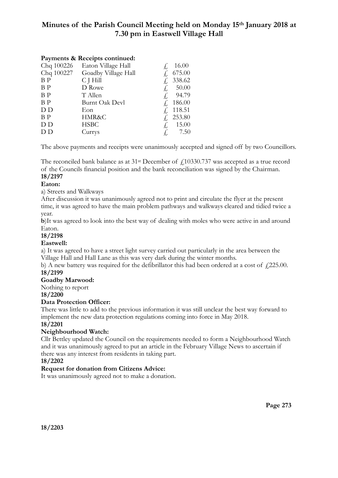# **Minutes of the Parish Council Meeting held on Monday 15th January 2018 at 7.30 pm in Eastwell Village Hall**

# **Payments & Receipts continued:**

| Chq 100226     | Eaton Village Hall    |    | 16.00  |
|----------------|-----------------------|----|--------|
| Chq 100227     | Goadby Village Hall   |    | 675.00 |
| B <sub>P</sub> | C J Hill              |    | 338.62 |
| B <sub>P</sub> | D Rowe                | Ł, | 50.00  |
| B <sub>P</sub> | T Allen               | £  | 94.79  |
| B <sub>P</sub> | <b>Burnt Oak Devl</b> |    | 186.00 |
| D D            | Eon                   |    | 118.51 |
| B <sub>P</sub> | HMR&C                 |    | 253.80 |
| D D            | <b>HSBC</b>           | £, | 15.00  |
| D D            | Currys                | Ł, | 7.50   |
|                |                       |    |        |

The above payments and receipts were unanimously accepted and signed off by two Councillors.

The reconciled bank balance as at  $31<sup>st</sup>$  December of  $\ell$ 10330.737 was accepted as a true record of the Councils financial position and the bank reconciliation was signed by the Chairman. **18/2197** 

# **Eaton:**

a) Streets and Walkways

After discussion it was unanimously agreed not to print and circulate the flyer at the present time, it was agreed to have the main problem pathways and walkways cleared and tidied twice a year.

**b**)It was agreed to look into the best way of dealing with moles who were active in and around Eaton.

### **18/2198**

### **Eastwell:**

a) It was agreed to have a street light survey carried out particularly in the area between the Village Hall and Hall Lane as this was very dark during the winter months.

b) A new battery was required for the defibrillator this had been ordered at a cost of  $\sqrt{225.00}$ . **18/2199** 

### **Goadby Marwood:**

Nothing to report

**18/2200** 

### **Data Protection Officer:**

There was little to add to the previous information it was still unclear the best way forward to implement the new data protection regulations coming into force in May 2018.

### **18/2201**

### **Neighbourhood Watch:**

Cllr Bettley updated the Council on the requirements needed to form a Neighbourhood Watch and it was unanimously agreed to put an article in the February Village News to ascertain if there was any interest from residents in taking part.

#### **18/2202**

### **Request for donation from Citizens Advice:**

It was unanimously agreed not to make a donation.